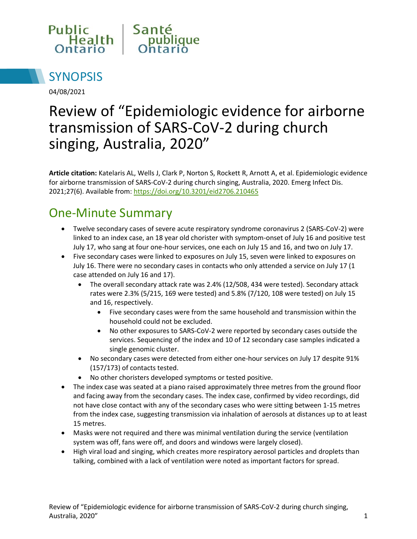



04/08/2021

# Review of "Epidemiologic evidence for airborne transmission of SARS-CoV-2 during church singing, Australia, 2020"

**Article citation:** Katelaris AL, Wells J, Clark P, Norton S, Rockett R, Arnott A, et al. Epidemiologic evidence for airborne transmission of SARS-CoV-2 during church singing, Australia, 2020. Emerg Infect Dis. 2021;27(6). Available from:<https://doi.org/10.3201/eid2706.210465>

## One-Minute Summary

- Twelve secondary cases of severe acute respiratory syndrome coronavirus 2 (SARS-CoV-2) were linked to an index case, an 18 year old chorister with symptom-onset of July 16 and positive test July 17, who sang at four one-hour services, one each on July 15 and 16, and two on July 17.
- Five secondary cases were linked to exposures on July 15, seven were linked to exposures on July 16. There were no secondary cases in contacts who only attended a service on July 17 (1 case attended on July 16 and 17).
	- The overall secondary attack rate was 2.4% (12/508, 434 were tested). Secondary attack rates were 2.3% (5/215, 169 were tested) and 5.8% (7/120, 108 were tested) on July 15 and 16, respectively.
		- Five secondary cases were from the same household and transmission within the household could not be excluded.
		- No other exposures to SARS-CoV-2 were reported by secondary cases outside the services. Sequencing of the index and 10 of 12 secondary case samples indicated a single genomic cluster.
	- No secondary cases were detected from either one-hour services on July 17 despite 91% (157/173) of contacts tested.
	- No other choristers developed symptoms or tested positive.
- The index case was seated at a piano raised approximately three metres from the ground floor and facing away from the secondary cases. The index case, confirmed by video recordings, did not have close contact with any of the secondary cases who were sitting between 1-15 metres from the index case, suggesting transmission via inhalation of aerosols at distances up to at least 15 metres.
- Masks were not required and there was minimal ventilation during the service (ventilation system was off, fans were off, and doors and windows were largely closed).
- High viral load and singing, which creates more respiratory aerosol particles and droplets than talking, combined with a lack of ventilation were noted as important factors for spread.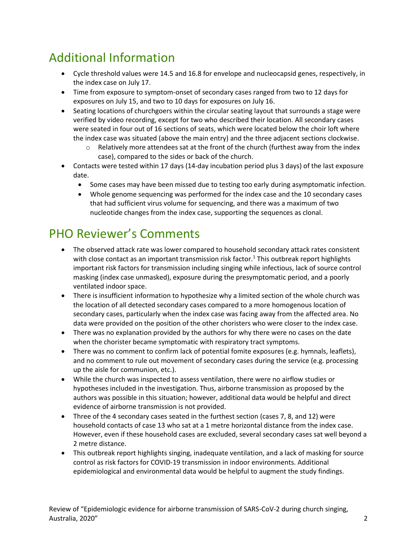## Additional Information

- Cycle threshold values were 14.5 and 16.8 for envelope and nucleocapsid genes, respectively, in the index case on July 17.
- Time from exposure to symptom-onset of secondary cases ranged from two to 12 days for exposures on July 15, and two to 10 days for exposures on July 16.
- Seating locations of churchgoers within the circular seating layout that surrounds a stage were verified by video recording, except for two who described their location. All secondary cases were seated in four out of 16 sections of seats, which were located below the choir loft where the index case was situated (above the main entry) and the three adjacent sections clockwise.
	- $\circ$  Relatively more attendees sat at the front of the church (furthest away from the index case), compared to the sides or back of the church.
- Contacts were tested within 17 days (14-day incubation period plus 3 days) of the last exposure date.
	- Some cases may have been missed due to testing too early during asymptomatic infection.
	- Whole genome sequencing was performed for the index case and the 10 secondary cases that had sufficient virus volume for sequencing, and there was a maximum of two nucleotide changes from the index case, supporting the sequences as clonal.

## PHO Reviewer's Comments

- The observed attack rate was lower compared to household secondary attack rates consistent with close contact as an important transmission risk factor.<sup>1</sup> This outbreak report highlights important risk factors for transmission including singing while infectious, lack of source control masking (index case unmasked), exposure during the presymptomatic period, and a poorly ventilated indoor space.
- There is insufficient information to hypothesize why a limited section of the whole church was the location of all detected secondary cases compared to a more homogenous location of secondary cases, particularly when the index case was facing away from the affected area. No data were provided on the position of the other choristers who were closer to the index case.
- There was no explanation provided by the authors for why there were no cases on the date when the chorister became symptomatic with respiratory tract symptoms.
- There was no comment to confirm lack of potential fomite exposures (e.g. hymnals, leaflets), and no comment to rule out movement of secondary cases during the service (e.g. processing up the aisle for communion, etc.).
- While the church was inspected to assess ventilation, there were no airflow studies or hypotheses included in the investigation. Thus, airborne transmission as proposed by the authors was possible in this situation; however, additional data would be helpful and direct evidence of airborne transmission is not provided.
- Three of the 4 secondary cases seated in the furthest section (cases 7, 8, and 12) were household contacts of case 13 who sat at a 1 metre horizontal distance from the index case. However, even if these household cases are excluded, several secondary cases sat well beyond a 2 metre distance.
- This outbreak report highlights singing, inadequate ventilation, and a lack of masking for source control as risk factors for COVID-19 transmission in indoor environments. Additional epidemiological and environmental data would be helpful to augment the study findings.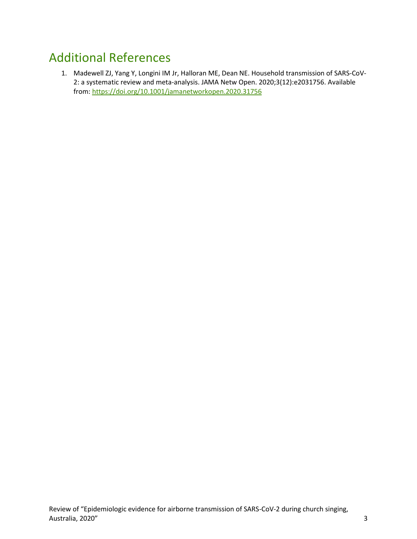#### Additional References

1. Madewell ZJ, Yang Y, Longini IM Jr, Halloran ME, Dean NE. Household transmission of SARS-CoV-2: a systematic review and meta-analysis. JAMA Netw Open. 2020;3(12):e2031756. Available from:<https://doi.org/10.1001/jamanetworkopen.2020.31756>